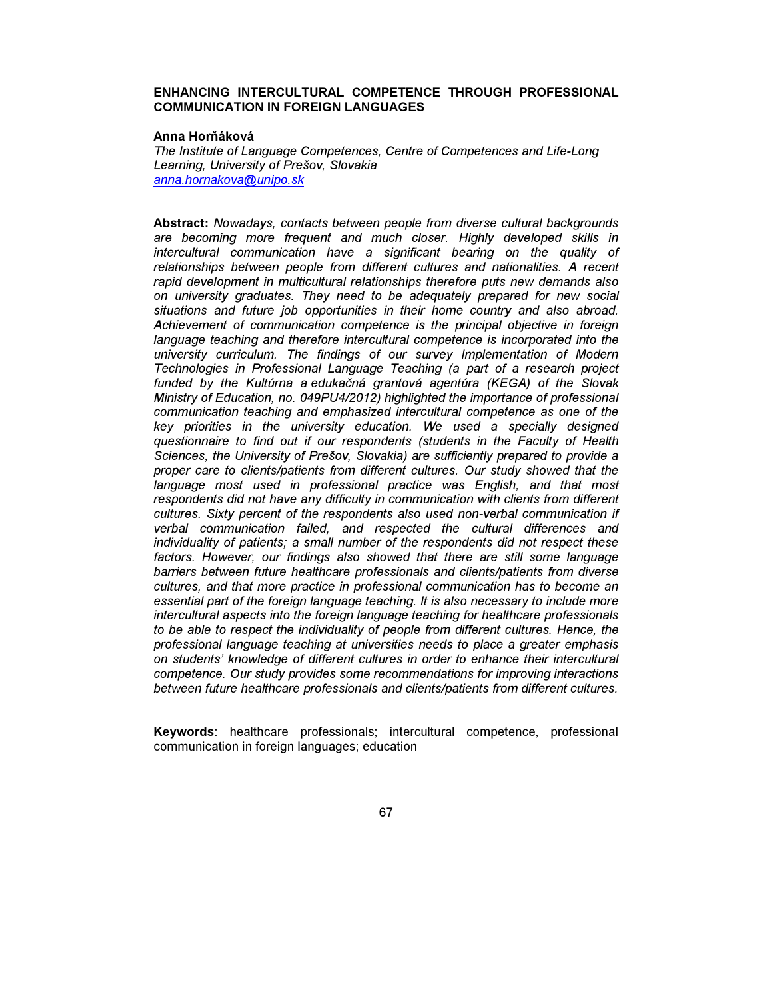## ENHANCING INTERCULTURAL COMPETENCE THROUGH PROFESSIONAL COMMUNICATION IN FOREIGN LANGUAGES

#### Anna Horňáková

The Institute of Language Competences, Centre of Competences and Life-Long Learning, University of Prešov, Slovakia anna.hornakova@unipo.sk

Abstract: Nowadays, contacts between people from diverse cultural backgrounds are becoming more frequent and much closer. Highly developed skills in intercultural communication have a significant bearing on the quality of relationships between people from different cultures and nationalities. A recent rapid development in multicultural relationships therefore puts new demands also on university graduates. They need to be adequately prepared for new social situations and future job opportunities in their home country and also abroad. Achievement of communication competence is the principal objective in foreign language teaching and therefore intercultural competence is incorporated into the university curriculum. The findings of our survey Implementation of Modern Technologies in Professional Language Teaching (a part of a research project funded by the Kultúrna a edukačná grantová agentúra (KEGA) of the Slovak Ministry of Education, no. 049PU4/2012) highlighted the importance of professional communication teaching and emphasized intercultural competence as one of the key priorities in the university education. We used a specially designed questionnaire to find out if our respondents (students in the Faculty of Health Sciences, the University of Prešov, Slovakia) are sufficiently prepared to provide a proper care to clients/patients from different cultures. Our study showed that the language most used in professional practice was English, and that most respondents did not have any difficulty in communication with clients from different cultures. Sixty percent of the respondents also used non-verbal communication if verbal communication failed, and respected the cultural differences and individuality of patients; a small number of the respondents did not respect these factors. However, our findings also showed that there are still some language barriers between future healthcare professionals and clients/patients from diverse cultures, and that more practice in professional communication has to become an essential part of the foreign language teaching. It is also necessary to include more intercultural aspects into the foreign language teaching for healthcare professionals to be able to respect the individuality of people from different cultures. Hence, the professional language teaching at universities needs to place a greater emphasis on students' knowledge of different cultures in order to enhance their intercultural competence. Our study provides some recommendations for improving interactions between future healthcare professionals and clients/patients from different cultures.

Keywords: healthcare professionals; intercultural competence, professional communication in foreign languages; education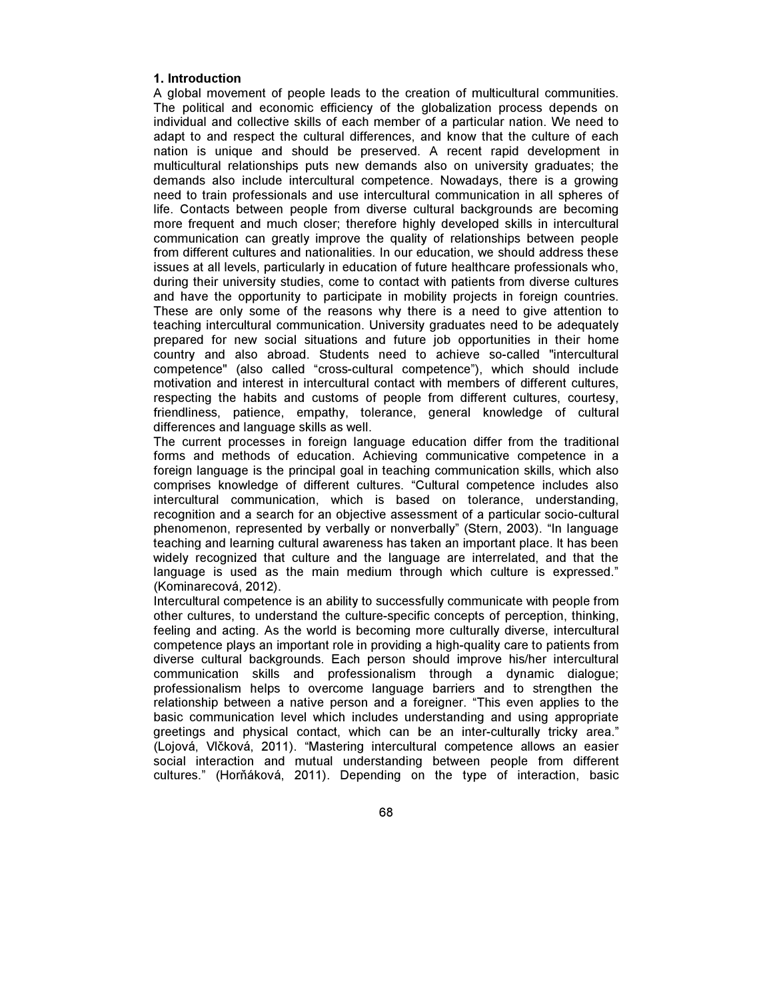## 1. Introduction

A global movement of people leads to the creation of multicultural communities. The political and economic efficiency of the globalization process depends on individual and collective skills of each member of a particular nation. We need to adapt to and respect the cultural differences, and know that the culture of each nation is unique and should be preserved. A recent rapid development in multicultural relationships puts new demands also on university graduates; the demands also include intercultural competence. Nowadays, there is a growing need to train professionals and use intercultural communication in all spheres of life. Contacts between people from diverse cultural backgrounds are becoming more frequent and much closer; therefore highly developed skills in intercultural communication can greatly improve the quality of relationships between people from different cultures and nationalities. In our education, we should address these issues at all levels, particularly in education of future healthcare professionals who, during their university studies, come to contact with patients from diverse cultures and have the opportunity to participate in mobility projects in foreign countries. These are only some of the reasons why there is a need to give attention to teaching intercultural communication. University graduates need to be adequately prepared for new social situations and future job opportunities in their home country and also abroad. Students need to achieve so-called "intercultural competence" (also called "cross-cultural competence"), which should include motivation and interest in intercultural contact with members of different cultures, respecting the habits and customs of people from different cultures, courtesy, friendliness, patience, empathy, tolerance, general knowledge of cultural differences and language skills as well.

The current processes in foreign language education differ from the traditional forms and methods of education. Achieving communicative competence in a foreign language is the principal goal in teaching communication skills, which also comprises knowledge of different cultures. "Cultural competence includes also intercultural communication, which is based on tolerance, understanding, recognition and a search for an objective assessment of a particular socio-cultural phenomenon, represented by verbally or nonverbally" (Stern, 2003). "In language teaching and learning cultural awareness has taken an important place. It has been widely recognized that culture and the language are interrelated, and that the language is used as the main medium through which culture is expressed." (Kominarecová, 2012).

Intercultural competence is an ability to successfully communicate with people from other cultures, to understand the culture-specific concepts of perception, thinking, feeling and acting. As the world is becoming more culturally diverse, intercultural competence plays an important role in providing a high-quality care to patients from diverse cultural backgrounds. Each person should improve his/her intercultural communication skills and professionalism through a dynamic dialogue; professionalism helps to overcome language barriers and to strengthen the relationship between a native person and a foreigner. "This even applies to the basic communication level which includes understanding and using appropriate greetings and physical contact, which can be an inter-culturally tricky area." (Lojová, Vlčková, 2011). "Mastering intercultural competence allows an easier social interaction and mutual understanding between people from different cultures." (Horňáková, 2011). Depending on the type of interaction, basic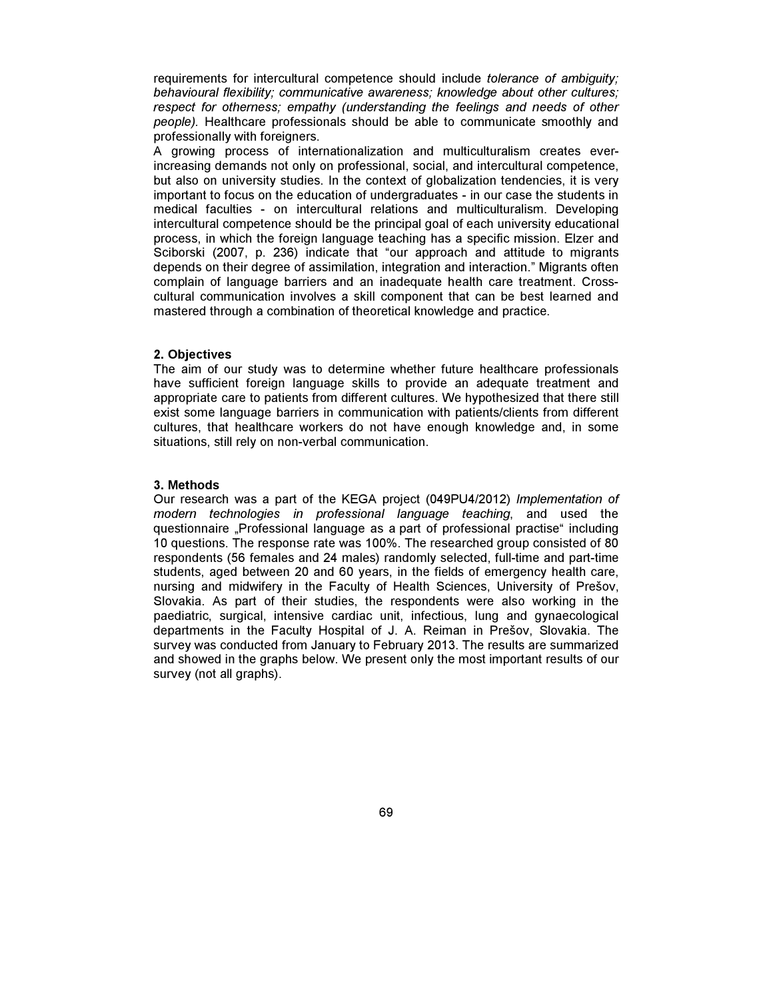requirements for intercultural competence should include *tolerance of ambiquity*; behavioural flexibility; communicative awareness; knowledge about other cultures; respect for otherness; empathy (understanding the feelings and needs of other people). Healthcare professionals should be able to communicate smoothly and professionally with foreigners.

A growing process of internationalization and multiculturalism creates everincreasing demands not only on professional, social, and intercultural competence, but also on university studies. In the context of globalization tendencies, it is very important to focus on the education of undergraduates - in our case the students in medical faculties - on intercultural relations and multiculturalism. Developing intercultural competence should be the principal goal of each university educational process, in which the foreign language teaching has a specific mission. Elzer and Sciborski (2007, p. 236) indicate that "our approach and attitude to migrants depends on their degree of assimilation, integration and interaction." Migrants often complain of language barriers and an inadequate health care treatment. Crosscultural communication involves a skill component that can be best learned and mastered through a combination of theoretical knowledge and practice.

# 2. Objectives

The aim of our study was to determine whether future healthcare professionals have sufficient foreign language skills to provide an adequate treatment and appropriate care to patients from different cultures. We hypothesized that there still exist some language barriers in communication with patients/clients from different cultures, that healthcare workers do not have enough knowledge and, in some situations, still rely on non-verbal communication.

## 3. Methods

Our research was a part of the KEGA project (049PU4/2012) Implementation of modern technologies in professional language teaching, and used the questionnaire "Professional language as a part of professional practise" including 10 questions. The response rate was 100%. The researched group consisted of 80 respondents (56 females and 24 males) randomly selected, full-time and part-time students, aged between 20 and 60 years, in the fields of emergency health care, nursing and midwifery in the Faculty of Health Sciences, University of Prešov, Slovakia. As part of their studies, the respondents were also working in the paediatric, surgical, intensive cardiac unit, infectious, lung and gynaecological departments in the Faculty Hospital of J. A. Reiman in Prešov, Slovakia. The survey was conducted from January to February 2013. The results are summarized and showed in the graphs below. We present only the most important results of our survey (not all graphs).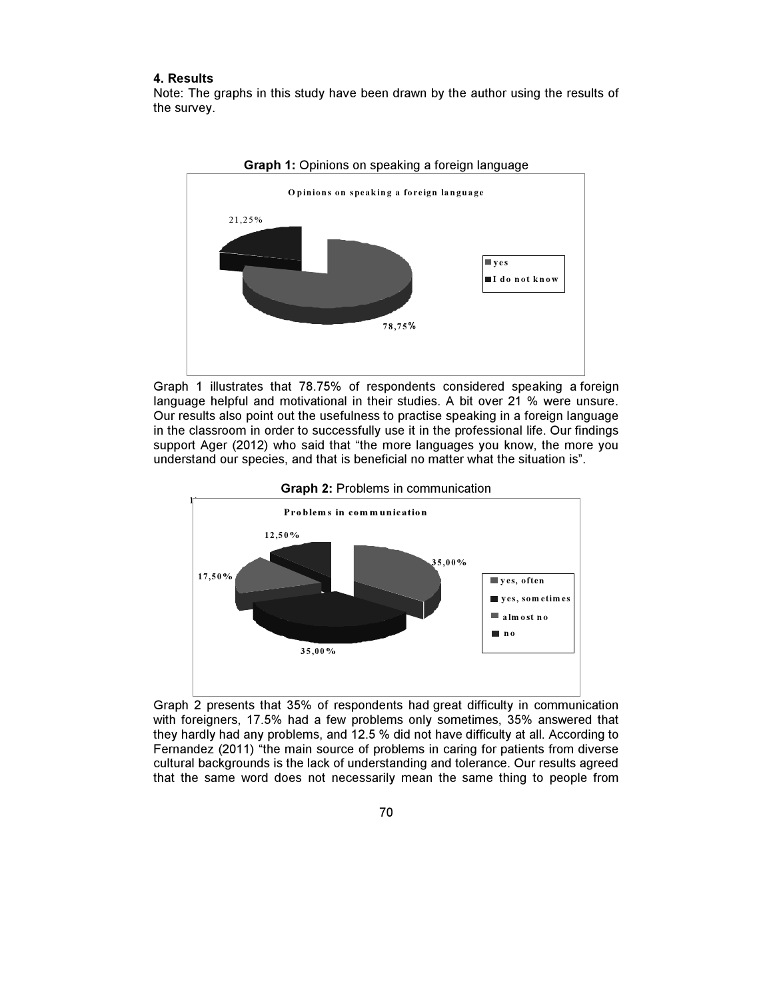## 4. Results

Note: The graphs in this study have been drawn by the author using the results of the survey.



Graph 1 illustrates that 78.75% of respondents considered speaking a foreign language helpful and motivational in their studies. A bit over 21 % were unsure. Our results also point out the usefulness to practise speaking in a foreign language in the classroom in order to successfully use it in the professional life. Our findings support Ager (2012) who said that "the more languages you know, the more you understand our species, and that is beneficial no matter what the situation is".





Graph 2 presents that 35% of respondents had great difficulty in communication with foreigners, 17.5% had a few problems only sometimes, 35% answered that they hardly had any problems, and 12.5 % did not have difficulty at all. According to Fernandez (2011) "the main source of problems in caring for patients from diverse cultural backgrounds is the lack of understanding and tolerance. Our results agreed that the same word does not necessarily mean the same thing to people from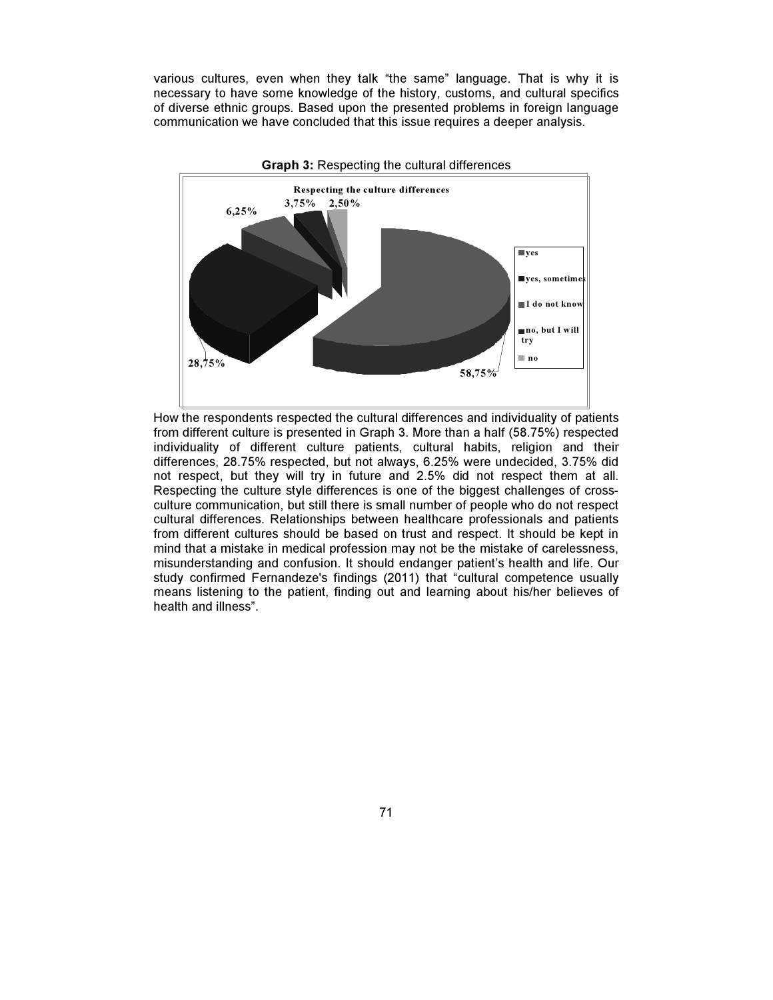various cultures, even when they talk "the same" language. That is why it is necessary to have some knowledge of the history, customs, and cultural specifics of diverse ethnic groups. Based upon the presented problems in foreign language communication we have concluded that this issue requires a deeper analysis.



How the respondents respected the cultural differences and individuality of patients from different culture is presented in Graph 3. More than a half (58.75%) respected individuality of different culture patients, cultural habits, religion and their differences, 28.75% respected, but not always, 6.25% were undecided, 3.75% did not respect, but they will try in future and 2.5% did not respect them at all. Respecting the culture style differences is one of the biggest challenges of crossculture communication, but still there is small number of people who do not respect cultural differences. Relationships between healthcare professionals and patients from different cultures should be based on trust and respect. It should be kept in mind that a mistake in medical profession may not be the mistake of carelessness, misunderstanding and confusion. It should endanger patient's health and life. Our study confirmed Fernandeze's findings (2011) that "cultural competence usually means listening to the patient, finding out and learning about his/her believes of health and illness".

71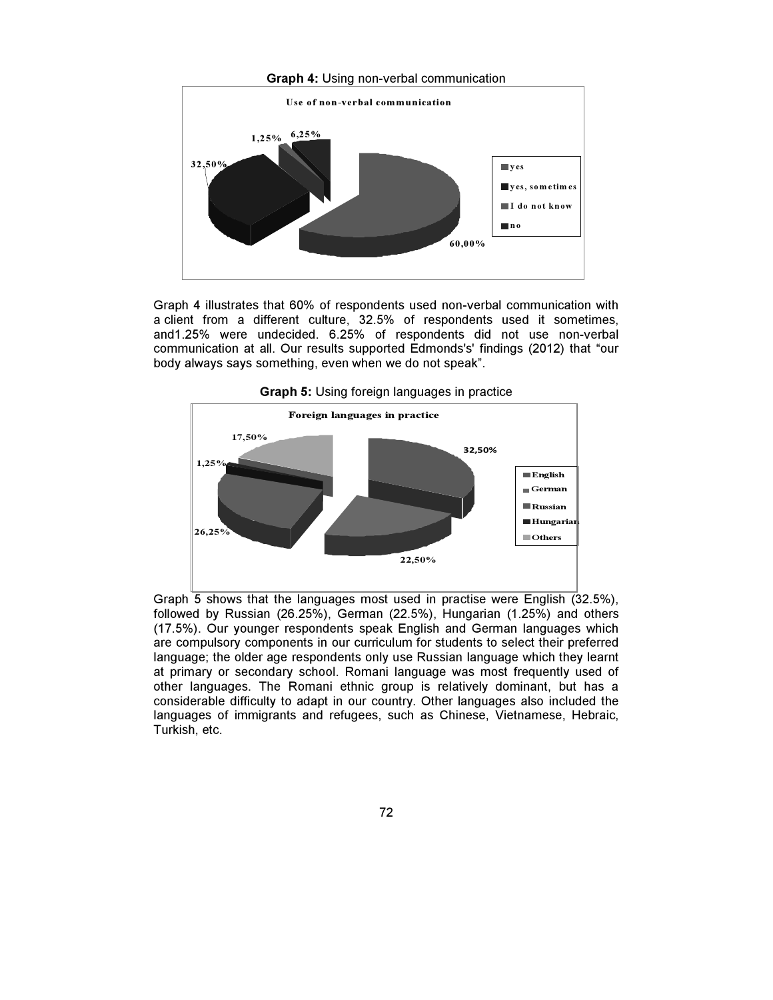

Graph 4 illustrates that 60% of respondents used non-verbal communication with a client from a different culture, 32.5% of respondents used it sometimes, and1.25% were undecided. 6.25% of respondents did not use non-verbal communication at all. Our results supported Edmonds's' findings (2012) that "our body always says something, even when we do not speak".



Graph 5: Using foreign languages in practice

Graph 5 shows that the languages most used in practise were English (32.5%), followed by Russian (26.25%), German (22.5%), Hungarian (1.25%) and others (17.5%). Our younger respondents speak English and German languages which are compulsory components in our curriculum for students to select their preferred language; the older age respondents only use Russian language which they learnt at primary or secondary school. Romani language was most frequently used of other languages. The Romani ethnic group is relatively dominant, but has a considerable difficulty to adapt in our country. Other languages also included the languages of immigrants and refugees, such as Chinese, Vietnamese, Hebraic, Turkish, etc.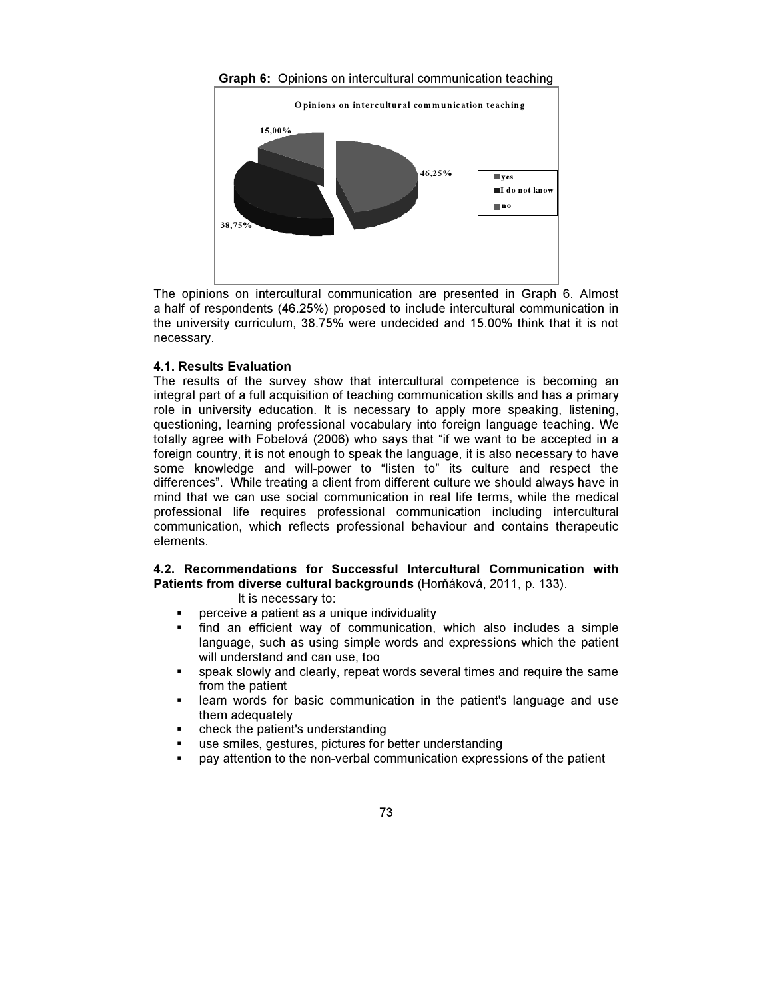### Graph 6: Opinions on intercultural communication teaching



The opinions on intercultural communication are presented in Graph 6. Almost a half of respondents (46.25%) proposed to include intercultural communication in the university curriculum, 38.75% were undecided and 15.00% think that it is not necessary.

## 4.1. Results Evaluation

The results of the survey show that intercultural competence is becoming an integral part of a full acquisition of teaching communication skills and has a primary role in university education. It is necessary to apply more speaking, listening, questioning, learning professional vocabulary into foreign language teaching. We totally agree with Fobelová (2006) who says that "if we want to be accepted in a foreign country, it is not enough to speak the language, it is also necessary to have some knowledge and will-power to "listen to" its culture and respect the differences". While treating a client from different culture we should always have in mind that we can use social communication in real life terms, while the medical professional life requires professional communication including intercultural communication, which reflects professional behaviour and contains therapeutic elements.

## 4.2. Recommendations for Successful Intercultural Communication with Patients from diverse cultural backgrounds (Horňáková, 2011, p. 133).

## It is necessary to:

- perceive a patient as a unique individuality
- find an efficient way of communication, which also includes a simple language, such as using simple words and expressions which the patient will understand and can use, too
- speak slowly and clearly, repeat words several times and require the same from the patient
- learn words for basic communication in the patient's language and use them adequately
- check the patient's understanding
- use smiles, gestures, pictures for better understanding
- pay attention to the non-verbal communication expressions of the patient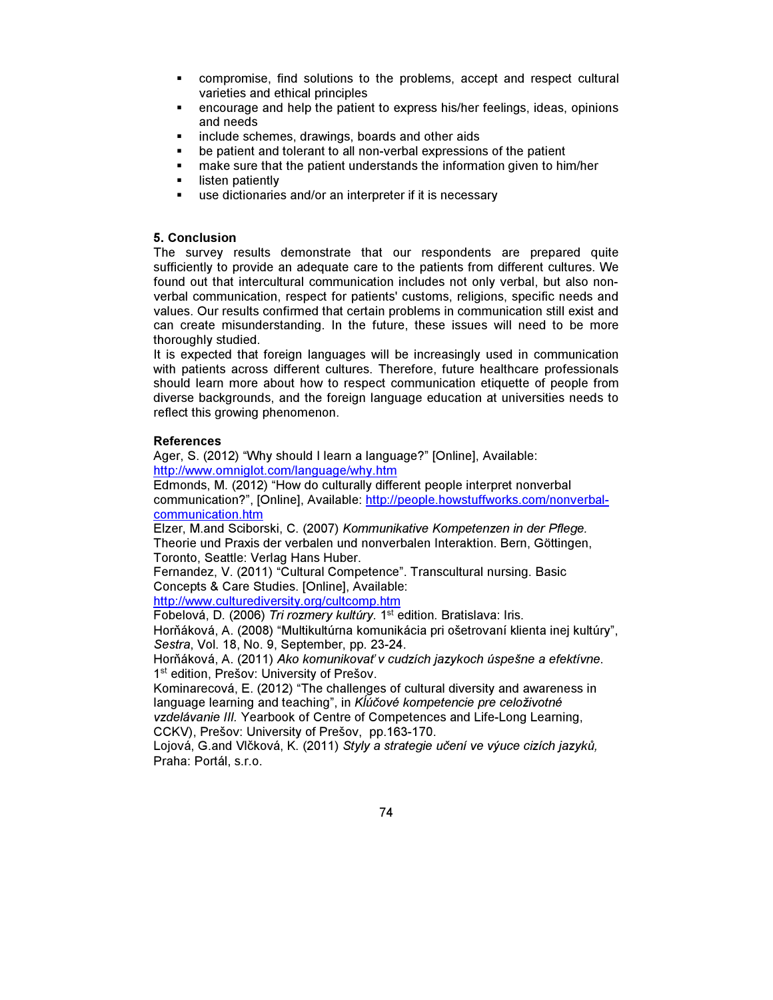- compromise, find solutions to the problems, accept and respect cultural varieties and ethical principles
- encourage and help the patient to express his/her feelings, ideas, opinions and needs
- **EXECUTE:** include schemes, drawings, boards and other aids
- be patient and tolerant to all non-verbal expressions of the patient
- make sure that the patient understands the information given to him/her
- **-** listen patiently
- use dictionaries and/or an interpreter if it is necessary

## 5. Conclusion

The survey results demonstrate that our respondents are prepared quite sufficiently to provide an adequate care to the patients from different cultures. We found out that intercultural communication includes not only verbal, but also nonverbal communication, respect for patients' customs, religions, specific needs and values. Our results confirmed that certain problems in communication still exist and can create misunderstanding. In the future, these issues will need to be more thoroughly studied.

It is expected that foreign languages will be increasingly used in communication with patients across different cultures. Therefore, future healthcare professionals should learn more about how to respect communication etiquette of people from diverse backgrounds, and the foreign language education at universities needs to reflect this growing phenomenon.

## References

Ager, S. (2012) "Why should I learn a language?" [Online], Available: http://www.omniglot.com/language/why.htm

Edmonds, M. (2012) "How do culturally different people interpret nonverbal communication?", [Online], Available: http://people.howstuffworks.com/nonverbalcommunication.htm

Elzer, M.and Sciborski, C. (2007) Kommunikative Kompetenzen in der Pflege. Theorie und Praxis der verbalen und nonverbalen Interaktion. Bern, Göttingen, Toronto, Seattle: Verlag Hans Huber.

Fernandez, V. (2011) "Cultural Competence". Transcultural nursing. Basic Concepts & Care Studies. [Online], Available:

http://www.culturediversity.org/cultcomp.htm

Fobelová, D. (2006) Tri rozmery kultúry. 1<sup>st</sup> edition. Bratislava: Iris.

Horňáková, A. (2008) "Multikultúrna komunikácia pri ošetrovaní klienta inej kultúry", Sestra, Vol. 18, No. 9, September, pp. 23-24.

Horňáková, A. (2011) Ako komunikovať v cudzích jazykoch úspešne a efektívne. 1<sup>st</sup> edition, Prešov: University of Prešov.

Kominarecová, E. (2012) "The challenges of cultural diversity and awareness in language learning and teaching", in Kĺúčové kompetencie pre celoživotné

vzdelávanie III. Yearbook of Centre of Competences and Life-Long Learning, CCKV), Prešov: University of Prešov, pp.163-170.

Lojová, G.and Vlčková, K. (2011) Styly a strategie učení ve výuce cizích jazyků, Praha: Portál, s.r.o.